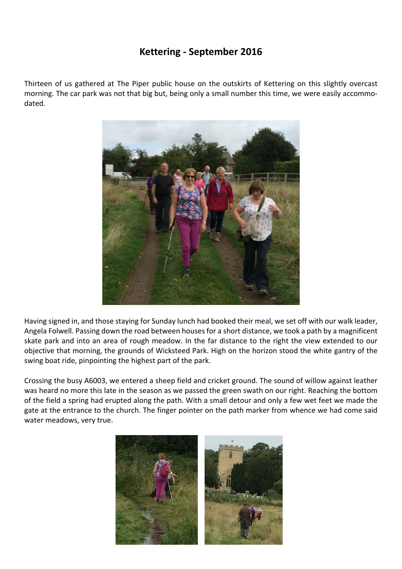## **Kettering - September 2016**

Thirteen of us gathered at The Piper public house on the outskirts of Kettering on this slightly overcast morning. The car park was not that big but, being only a small number this time, we were easily accommodated.



Having signed in, and those staying for Sunday lunch had booked their meal, we set off with our walk leader, Angela Folwell. Passing down the road between houses for a short distance, we took a path by a magnificent skate park and into an area of rough meadow. In the far distance to the right the view extended to our objective that morning, the grounds of Wicksteed Park. High on the horizon stood the white gantry of the swing boat ride, pinpointing the highest part of the park.

Crossing the busy A6003, we entered a sheep field and cricket ground. The sound of willow against leather was heard no more this late in the season as we passed the green swath on our right. Reaching the bottom of the field a spring had erupted along the path. With a small detour and only a few wet feet we made the gate at the entrance to the church. The finger pointer on the path marker from whence we had come said water meadows, very true.